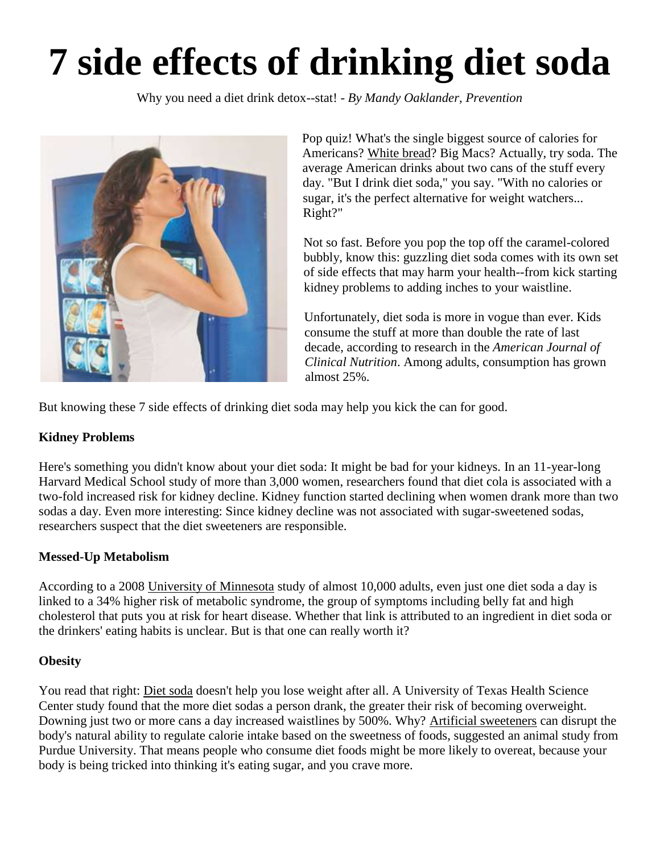# **7 side effects of drinking diet soda**

Why you need a diet drink detox--stat! - *By Mandy Oaklander, Prevention*



Pop quiz! What's the single biggest source of calories for Americans? [White bread?](https://www.bing.com/search?q=white%20bread&filters=ufn%3a%22white%20bread%22+sid%3a%2261347e0e-8772-e124-c461-d13f03f966ba%22&FORM=MSNLHE) Big Macs? Actually, try soda. The average American drinks about two cans of the stuff every day. "But I drink diet soda," you say. "With no calories or sugar, it's the perfect alternative for weight watchers... Right?"

Not so fast. Before you pop the top off the caramel-colored bubbly, know this: guzzling diet soda comes with its own set of side effects that may harm your health--from kick starting kidney problems to adding inches to your waistline.

Unfortunately, diet soda is more in vogue than ever. Kids consume the stuff at more than double the rate of last decade, according to research in the *American Journal of Clinical Nutrition*. Among adults, consumption has grown almost 25%.

But knowing these 7 side effects of drinking diet soda may help you kick the can for good.

# **Kidney Problems**

Here's something you didn't know about your diet soda: It might be bad for your kidneys. In an 11-year-long Harvard Medical School study of more than 3,000 women, researchers found that diet cola is associated with a two-fold increased risk for kidney decline. Kidney function started declining when women drank more than two sodas a day. Even more interesting: Since kidney decline was not associated with sugar-sweetened sodas, researchers suspect that the diet sweeteners are responsible.

### **Messed-Up Metabolism**

According to a 2008 [University of Minnesota](https://www.bing.com/search?q=university%20of%20minnesota%20system&filters=ufn%3a%22university%20of%20minnesota%20system%22+sid%3a%2271280bf6-1eb4-23ca-06c2-2ad066e79811%22&FORM=MSNLHE) study of almost 10,000 adults, even just one diet soda a day is linked to a 34% higher risk of metabolic syndrome, the group of symptoms including belly fat and high cholesterol that puts you at risk for heart disease. Whether that link is attributed to an ingredient in diet soda or the drinkers' eating habits is unclear. But is that one can really worth it?

### **Obesity**

You read that right: [Diet soda](https://www.bing.com/search?q=first%20diet%20soda&filters=ufn%3a%22first%20diet%20soda%22+sid%3a%22add065f1-7712-7444-40f2-982b5086c3a2%22&FORM=MSNLHE) doesn't help you lose weight after all. A University of Texas Health Science Center study found that the more diet sodas a person drank, the greater their risk of becoming overweight. Downing just two or more cans a day increased waistlines by 500%. Why? [Artificial sweeteners](https://www.bing.com/search?q=sugar%20substitute&filters=ufn%3a%22sugar%20substitute%22+sid%3a%22a54fe38f-f28e-86b0-a26f-b3e4744d023d%22&FORM=MSNLHE) can disrupt the body's natural ability to regulate calorie intake based on the sweetness of foods, suggested an animal study from Purdue University. That means people who consume diet foods might be more likely to overeat, because your body is being tricked into thinking it's eating sugar, and you crave more.